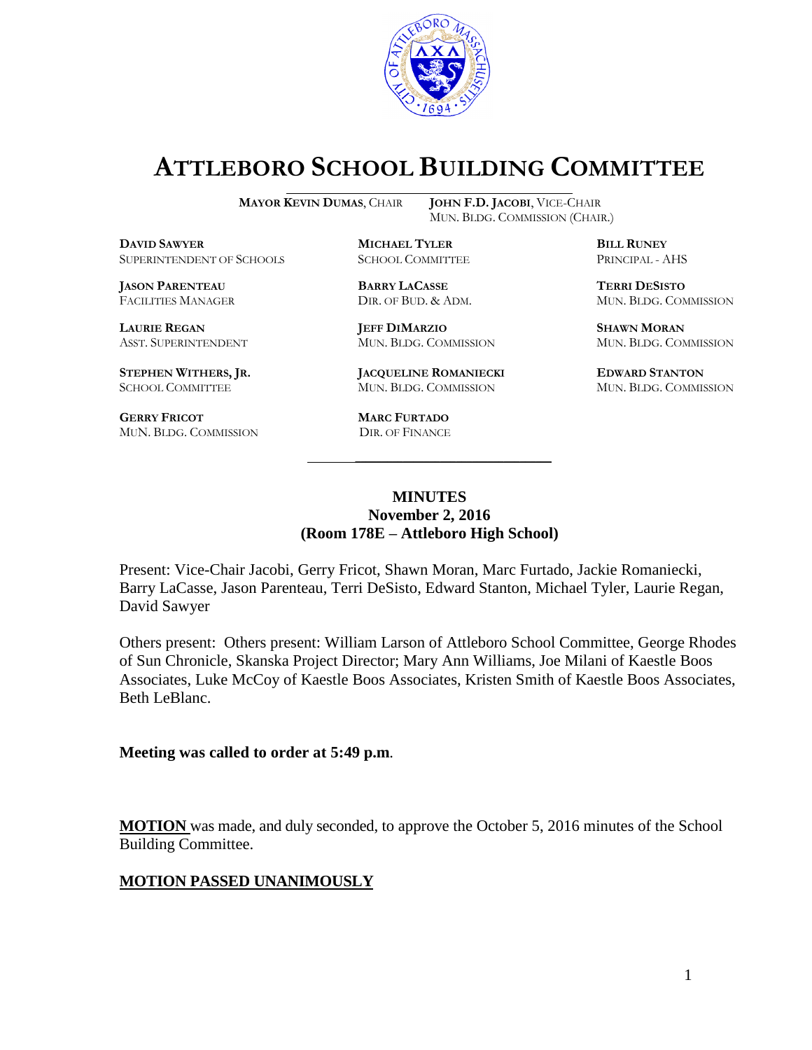

# **ATTLEBORO SCHOOL BUILDING COMMITTEE**

MUN. BLDG. COMMISSION (CHAIR.)

**MAYOR KEVIN DUMAS**, CHAIR **JOHN F.D. JACOBI**, VICE-CHAIR

**DAVID SAWYER MICHAEL TYLER BILL RUNEY** SUPERINTENDENT OF SCHOOLS SCHOOL COMMITTEE PRINCIPAL - AHS

**JASON PARENTEAU BARRY LACASSE TERRI DESISTO**

**GERRY FRICOT**<br> **MUN. BLDG. COMMISSION DIR. OF FINANCE** MUN. BLDG. COMMISSION

**LAURIE REGAN JEFF DIMARZIO SHAWN MORAN**

**STEPHEN WITHERS, JR. JACQUELINE ROMANIECKI EDWARD STANTON** SCHOOL COMMITTEE MUN. BLDG. COMMISSION MUN. BLDG. COMMISSION

FACILITIES MANAGER DIR. OF BUD. & ADM. MUN. BLDG. COMMISSION

ASST. SUPERINTENDENT MUN. BLDG. COMMISSION MUN. BLDG. COMMISSION

### **MINUTES November 2, 2016 (Room 178E – Attleboro High School)**

\_\_\_\_\_\_\_\_\_\_\_\_\_\_\_\_\_\_\_\_\_\_\_\_\_\_\_\_\_\_\_\_\_\_\_\_\_

Present: Vice-Chair Jacobi, Gerry Fricot, Shawn Moran, Marc Furtado, Jackie Romaniecki, Barry LaCasse, Jason Parenteau, Terri DeSisto, Edward Stanton, Michael Tyler, Laurie Regan, David Sawyer

Others present: Others present: William Larson of Attleboro School Committee, George Rhodes of Sun Chronicle, Skanska Project Director; Mary Ann Williams, Joe Milani of Kaestle Boos Associates, Luke McCoy of Kaestle Boos Associates, Kristen Smith of Kaestle Boos Associates, Beth LeBlanc.

**Meeting was called to order at 5:49 p.m**.

**MOTION** was made, and duly seconded, to approve the October 5, 2016 minutes of the School Building Committee.

### **MOTION PASSED UNANIMOUSLY**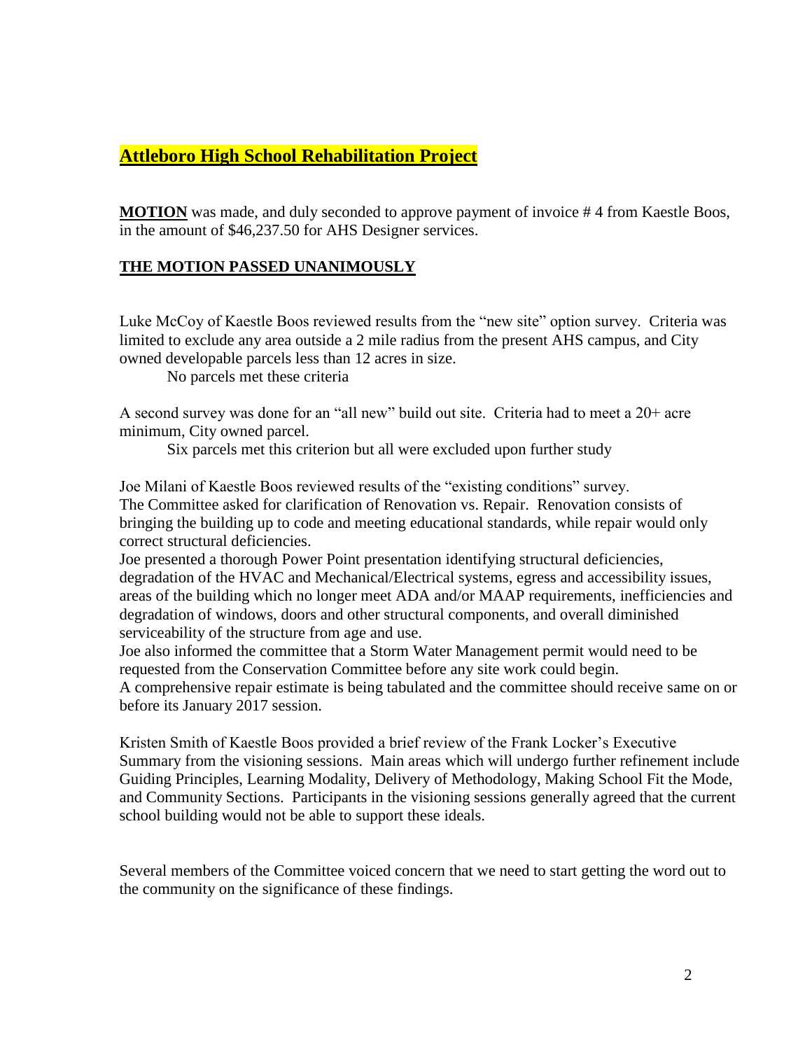## **Attleboro High School Rehabilitation Project**

**MOTION** was made, and duly seconded to approve payment of invoice #4 from Kaestle Boos, in the amount of \$46,237.50 for AHS Designer services.

### **THE MOTION PASSED UNANIMOUSLY**

Luke McCoy of Kaestle Boos reviewed results from the "new site" option survey. Criteria was limited to exclude any area outside a 2 mile radius from the present AHS campus, and City owned developable parcels less than 12 acres in size.

No parcels met these criteria

A second survey was done for an "all new" build out site. Criteria had to meet a 20+ acre minimum, City owned parcel.

Six parcels met this criterion but all were excluded upon further study

Joe Milani of Kaestle Boos reviewed results of the "existing conditions" survey. The Committee asked for clarification of Renovation vs. Repair. Renovation consists of bringing the building up to code and meeting educational standards, while repair would only correct structural deficiencies.

Joe presented a thorough Power Point presentation identifying structural deficiencies, degradation of the HVAC and Mechanical/Electrical systems, egress and accessibility issues, areas of the building which no longer meet ADA and/or MAAP requirements, inefficiencies and degradation of windows, doors and other structural components, and overall diminished serviceability of the structure from age and use.

Joe also informed the committee that a Storm Water Management permit would need to be requested from the Conservation Committee before any site work could begin.

A comprehensive repair estimate is being tabulated and the committee should receive same on or before its January 2017 session.

Kristen Smith of Kaestle Boos provided a brief review of the Frank Locker's Executive Summary from the visioning sessions. Main areas which will undergo further refinement include Guiding Principles, Learning Modality, Delivery of Methodology, Making School Fit the Mode, and Community Sections. Participants in the visioning sessions generally agreed that the current school building would not be able to support these ideals.

Several members of the Committee voiced concern that we need to start getting the word out to the community on the significance of these findings.